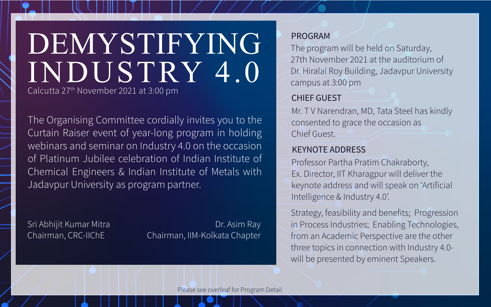# DEMYSTIFYING INDUSTRY 4.0

Calcutta 27th November 2021 at 3:00 pm

The Organising Committee cordially invites you to the Curtain Raiser event of year-long program in holding webinars and seminar on Industry 4.0 on the occasion of Platinum Jubilee celebration of Indian Institute of Chemical Engineers & Indian Institute of Metals with Jadavpur University as program partner.

Sri Abhijit Kumar Mitra Chairman, CRC-IIChE

Dr. Asim Ray Chairman, IIM-Kolkata Chapter

#### PROGRAM

The program will be held on Saturday, 27th November 2021 at the auditorium of Dr. Hiralal Roy Building, Jadavpur University campus at 3:00 pm

### CHIEF GUEST

Mr. T V Narendran, MD, Tata Steel has kindly consented to grace the occasion as Chief Guest.

#### KEYNOTE ADDRESS

Professor Partha Pratim Chakraborty, Ex. Director, IIT Kharagpur will deliver the keynote address and will speak on 'Artificial Intelligence & Industry 4.0'.

Strategy, feasibility and benefits; Progression in Process Industries; Enabling Technologies, from an Academic Perspective are the other three topics in connection with Industry 4.0 will be presented by eminent Speakers.

Please see overleaf for Program Detail